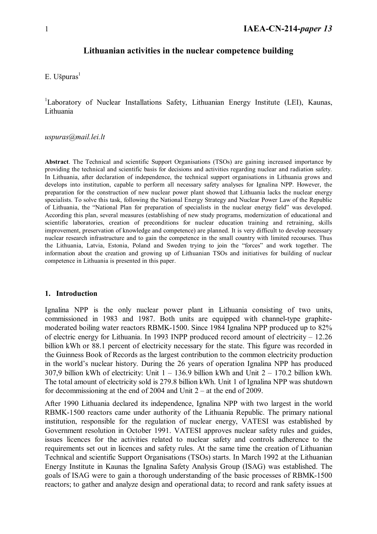## **Lithuanian activities in the nuclear competence building**

### $E.$  Ušpuras $<sup>1</sup>$ </sup>

<sup>1</sup>Laboratory of Nuclear Installations Safety, Lithuanian Energy Institute (LEI), Kaunas, Lithuania

#### *uspuras@mail.lei.lt*

**Abstract**. The Technical and scientific Support Organisations (TSOs) are gaining increased importance by providing the technical and scientific basis for decisions and activities regarding nuclear and radiation safety. In Lithuania, after declaration of independence, the technical support organisations in Lithuania grows and develops into institution, capable to perform all necessary safety analyses for Ignalina NPP. However, the preparation for the construction of new nuclear power plant showed that Lithuania lacks the nuclear energy specialists. To solve this task, following the National Energy Strategy and Nuclear Power Law of the Republic of Lithuania, the "National Plan for preparation of specialists in the nuclear energy field" was developed. According this plan, several measures (establishing of new study programs, modernization of educational and scientific laboratories, creation of preconditions for nuclear education training and retraining, skills improvement, preservation of knowledge and competence) are planned. It is very difficult to develop necessary nuclear research infrastructure and to gain the competence in the small country with limited recourses. Thus the Lithuania, Latvia, Estonia, Poland and Sweden trying to join the "forces" and work together. The information about the creation and growing up of Lithuanian TSOs and initiatives for building of nuclear competence in Lithuania is presented in this paper.

#### **1. Introduction**

Ignalina NPP is the only nuclear power plant in Lithuania consisting of two units, commissioned in 1983 and 1987. Both units are equipped with channel-type graphitemoderated boiling water reactors RBMK-1500. Since 1984 Ignalina NPP produced up to 82% of electric energy for Lithuania. In 1993 INPP produced record amount of electricity – 12.26 billion kWh or 88.1 percent of electricity necessary for the state. This figure was recorded in the Guinness Book of Records as the largest contribution to the common electricity production in the world's nuclear history. During the 26 years of operation Ignalina NPP has produced 307,9 billion kWh of electricity: Unit 1 – 136.9 billion kWh and Unit 2 – 170.2 billion kWh. The total amount of electricity sold is 279.8 billion kWh. Unit 1 of Ignalina NPP was shutdown for decommissioning at the end of 2004 and Unit  $2 - at$  the end of 2009.

After 1990 Lithuania declared its independence, Ignalina NPP with two largest in the world RBMK-1500 reactors came under authority of the Lithuania Republic. The primary national institution, responsible for the regulation of nuclear energy, VATESI was established by Government resolution in October 1991. VATESI approves nuclear safety rules and guides, issues licences for the activities related to nuclear safety and controls adherence to the requirements set out in licences and safety rules. At the same time the creation of Lithuanian Technical and scientific Support Organisations (TSOs) starts. In March 1992 at the Lithuanian Energy Institute in Kaunas the Ignalina Safety Analysis Group (ISAG) was established. The goals of ISAG were to gain a thorough understanding of the basic processes of RBMK-1500 reactors; to gather and analyze design and operational data; to record and rank safety issues at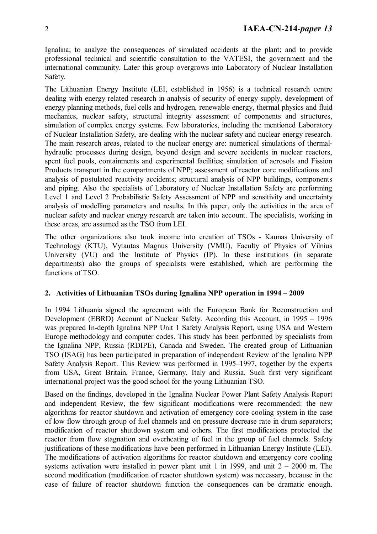Ignalina; to analyze the consequences of simulated accidents at the plant; and to provide professional technical and scientific consultation to the VATESI, the government and the international community. Later this group overgrows into Laboratory of Nuclear Installation Safety.

The Lithuanian Energy Institute (LEI, established in 1956) is a technical research centre dealing with energy related research in analysis of security of energy supply, development of energy planning methods, fuel cells and hydrogen, renewable energy, thermal physics and fluid mechanics, nuclear safety, structural integrity assessment of components and structures, simulation of complex energy systems. Few laboratories, including the mentioned Laboratory of Nuclear Installation Safety, are dealing with the nuclear safety and nuclear energy research. The main research areas, related to the nuclear energy are: numerical simulations of thermalhydraulic processes during design, beyond design and severe accidents in nuclear reactors, spent fuel pools, containments and experimental facilities; simulation of aerosols and Fission Products transport in the compartments of NPP; assessment of reactor core modifications and analysis of postulated reactivity accidents; structural analysis of NPP buildings, components and piping. Also the specialists of Laboratory of Nuclear Installation Safety are performing Level 1 and Level 2 Probabilistic Safety Assessment of NPP and sensitivity and uncertainty analysis of modelling parameters and results. In this paper, only the activities in the area of nuclear safety and nuclear energy research are taken into account. The specialists, working in these areas, are assumed as the TSO from LEI.

The other organizations also took income into creation of TSOs - Kaunas University of Technology (KTU), Vytautas Magnus University (VMU), Faculty of Physics of Vilnius University (VU) and the Institute of Physics (IP). In these institutions (in separate departments) also the groups of specialists were established, which are performing the functions of TSO.

## **2. Activities of Lithuanian TSOs during Ignalina NPP operation in 1994 – 2009**

In 1994 Lithuania signed the agreement with the European Bank for Reconstruction and Development (EBRD) Account of Nuclear Safety. According this Account, in 1995 – 1996 was prepared In-depth Ignalina NPP Unit 1 Safety Analysis Report, using USA and Western Europe methodology and computer codes. This study has been performed by specialists from the Ignalina NPP, Russia (RDIPE), Canada and Sweden. The created group of Lithuanian TSO (ISAG) has been participated in preparation of independent Review of the Ignalina NPP Safety Analysis Report. This Review was performed in 1995–1997, together by the experts from USA, Great Britain, France, Germany, Italy and Russia. Such first very significant international project was the good school for the young Lithuanian TSO.

Based on the findings, developed in the Ignalina Nuclear Power Plant Safety Analysis Report and independent Review, the few significant modifications were recommended: the new algorithms for reactor shutdown and activation of emergency core cooling system in the case of low flow through group of fuel channels and on pressure decrease rate in drum separators; modification of reactor shutdown system and others. The first modifications protected the reactor from flow stagnation and overheating of fuel in the group of fuel channels. Safety justifications of these modifications have been performed in Lithuanian Energy Institute (LEI). The modifications of activation algorithms for reactor shutdown and emergency core cooling systems activation were installed in power plant unit 1 in 1999, and unit  $2 - 2000$  m. The second modification (modification of reactor shutdown system) was necessary, because in the case of failure of reactor shutdown function the consequences can be dramatic enough.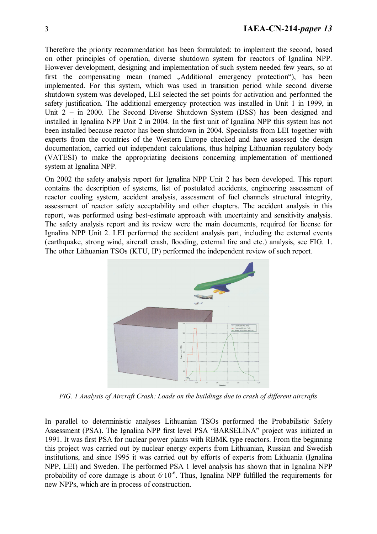Therefore the priority recommendation has been formulated: to implement the second, based on other principles of operation, diverse shutdown system for reactors of Ignalina NPP. However development, designing and implementation of such system needed few years, so at first the compensating mean (named "Additional emergency protection"), has been implemented. For this system, which was used in transition period while second diverse shutdown system was developed, LEI selected the set points for activation and performed the safety justification. The additional emergency protection was installed in Unit 1 in 1999, in Unit 2 – in 2000. The Second Diverse Shutdown System (DSS) has been designed and installed in Ignalina NPP Unit 2 in 2004. In the first unit of Ignalina NPP this system has not been installed because reactor has been shutdown in 2004. Specialists from LEI together with experts from the countries of the Western Europe checked and have assessed the design documentation, carried out independent calculations, thus helping Lithuanian regulatory body (VATESI) to make the appropriating decisions concerning implementation of mentioned system at Ignalina NPP.

On 2002 the safety analysis report for Ignalina NPP Unit 2 has been developed. This report contains the description of systems, list of postulated accidents, engineering assessment of reactor cooling system, accident analysis, assessment of fuel channels structural integrity, assessment of reactor safety acceptability and other chapters. The accident analysis in this report, was performed using best-estimate approach with uncertainty and sensitivity analysis. The safety analysis report and its review were the main documents, required for license for Ignalina NPP Unit 2. LEI performed the accident analysis part, including the external events (earthquake, strong wind, aircraft crash, flooding, external fire and etc.) analysis, see FIG. 1. The other Lithuanian TSOs (KTU, IP) performed the independent review of such report.



*FIG. 1 Analysis of Aircraft Crash: Loads on the buildings due to crash of different aircrafts* 

In parallel to deterministic analyses Lithuanian TSOs performed the Probabilistic Safety Assessment (PSA). The Ignalina NPP first level PSA "BARSELINA" project was initiated in 1991. It was first PSA for nuclear power plants with RBMK type reactors. From the beginning this project was carried out by nuclear energy experts from Lithuanian, Russian and Swedish institutions, and since 1995 it was carried out by efforts of experts from Lithuania (Ignalina NPP, LEI) and Sweden. The performed PSA 1 level analysis has shown that in Ignalina NPP probability of core damage is about  $6.10^{-6}$ . Thus, Ignalina NPP fulfilled the requirements for new NPPs, which are in process of construction.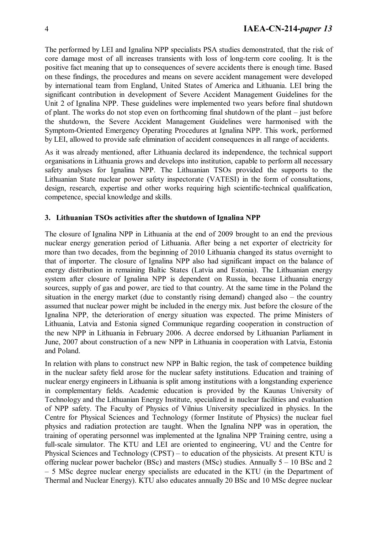The performed by LEI and Ignalina NPP specialists PSA studies demonstrated, that the risk of core damage most of all increases transients with loss of long-term core cooling. It is the positive fact meaning that up to consequences of severe accidents there is enough time. Based on these findings, the procedures and means on severe accident management were developed by international team from England, United States of America and Lithuania. LEI bring the significant contribution in development of Severe Accident Management Guidelines for the Unit 2 of Ignalina NPP. These guidelines were implemented two years before final shutdown of plant. The works do not stop even on forthcoming final shutdown of the plant – just before the shutdown, the Severe Accident Management Guidelines were harmonised with the Symptom-Oriented Emergency Operating Procedures at Ignalina NPP. This work, performed by LEI, allowed to provide safe elimination of accident consequences in all range of accidents.

As it was already mentioned, after Lithuania declared its independence, the technical support organisations in Lithuania grows and develops into institution, capable to perform all necessary safety analyses for Ignalina NPP. The Lithuanian TSOs provided the supports to the Lithuanian State nuclear power safety inspectorate (VATESI) in the form of consultations, design, research, expertise and other works requiring high scientific-technical qualification, competence, special knowledge and skills.

### **3. Lithuanian TSOs activities after the shutdown of Ignalina NPP**

The closure of Ignalina NPP in Lithuania at the end of 2009 brought to an end the previous nuclear energy generation period of Lithuania. After being a net exporter of electricity for more than two decades, from the beginning of 2010 Lithuania changed its status overnight to that of importer. The closure of Ignalina NPP also had significant impact on the balance of energy distribution in remaining Baltic States (Latvia and Estonia). The Lithuanian energy system after closure of Ignalina NPP is dependent on Russia, because Lithuania energy sources, supply of gas and power, are tied to that country. At the same time in the Poland the situation in the energy market (due to constantly rising demand) changed also – the country assumed that nuclear power might be included in the energy mix. Just before the closure of the Ignalina NPP, the deterioration of energy situation was expected. The prime Ministers of Lithuania, Latvia and Estonia signed Communique regarding cooperation in construction of the new NPP in Lithuania in February 2006. A decree endorsed by Lithuanian Parliament in June, 2007 about construction of a new NPP in Lithuania in cooperation with Latvia, Estonia and Poland.

In relation with plans to construct new NPP in Baltic region, the task of competence building in the nuclear safety field arose for the nuclear safety institutions. Education and training of nuclear energy engineers in Lithuania is split among institutions with a longstanding experience in complementary fields. Academic education is provided by the Kaunas University of Technology and the Lithuanian Energy Institute, specialized in nuclear facilities and evaluation of NPP safety. The Faculty of Physics of Vilnius University specialized in physics. In the Centre for Physical Sciences and Technology (former Institute of Physics) the nuclear fuel physics and radiation protection are taught. When the Ignalina NPP was in operation, the training of operating personnel was implemented at the Ignalina NPP Training centre, using a full-scale simulator. The KTU and LEI are oriented to engineering, VU and the Centre for Physical Sciences and Technology (CPST) – to education of the physicists. At present KTU is offering nuclear power bachelor (BSc) and masters (MSc) studies. Annually 5 – 10 BSc and 2 – 5 MSc degree nuclear energy specialists are educated in the KTU (in the Department of Thermal and Nuclear Energy). KTU also educates annually 20 BSc and 10 MSc degree nuclear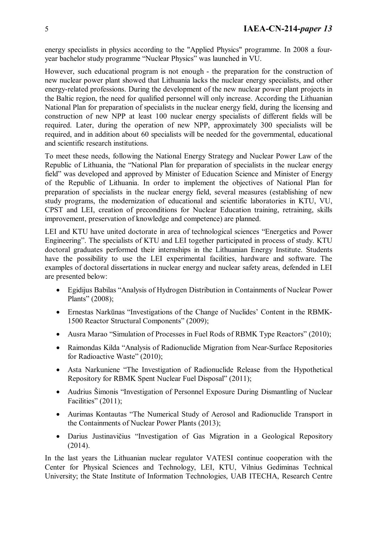energy specialists in physics according to the "Applied Physics" programme. In 2008 a fouryear bachelor study programme "Nuclear Physics" was launched in VU.

However, such educational program is not enough - the preparation for the construction of new nuclear power plant showed that Lithuania lacks the nuclear energy specialists, and other energy-related professions. During the development of the new nuclear power plant projects in the Baltic region, the need for qualified personnel will only increase. According the Lithuanian National Plan for preparation of specialists in the nuclear energy field, during the licensing and construction of new NPP at least 100 nuclear energy specialists of different fields will be required. Later, during the operation of new NPP, approximately 300 specialists will be required, and in addition about 60 specialists will be needed for the governmental, educational and scientific research institutions.

To meet these needs, following the National Energy Strategy and Nuclear Power Law of the Republic of Lithuania, the "National Plan for preparation of specialists in the nuclear energy field" was developed and approved by Minister of Education Science and Minister of Energy of the Republic of Lithuania. In order to implement the objectives of National Plan for preparation of specialists in the nuclear energy field, several measures (establishing of new study programs, the modernization of educational and scientific laboratories in KTU, VU, CPST and LEI, creation of preconditions for Nuclear Education training, retraining, skills improvement, preservation of knowledge and competence) are planned.

LEI and KTU have united doctorate in area of technological sciences "Energetics and Power Engineering". The specialists of KTU and LEI together participated in process of study. KTU doctoral graduates performed their internships in the Lithuanian Energy Institute. Students have the possibility to use the LEI experimental facilities, hardware and software. The examples of doctoral dissertations in nuclear energy and nuclear safety areas, defended in LEI are presented below:

- Egidijus Babilas "Analysis of Hydrogen Distribution in Containments of Nuclear Power Plants" (2008);
- Ernestas Narkūnas "Investigations of the Change of Nuclides' Content in the RBMK-1500 Reactor Structural Components" (2009);
- Ausra Marao "Simulation of Processes in Fuel Rods of RBMK Type Reactors" (2010);
- Raimondas Kilda "Analysis of Radionuclide Migration from Near-Surface Repositories for Radioactive Waste" (2010);
- Asta Narkuniene "The Investigation of Radionuclide Release from the Hypothetical Repository for RBMK Spent Nuclear Fuel Disposal" (2011);
- Audrius Šimonis "Investigation of Personnel Exposure During Dismantling of Nuclear Facilities" (2011):
- Aurimas Kontautas "The Numerical Study of Aerosol and Radionuclide Transport in the Containments of Nuclear Power Plants (2013);
- Darius Justinavičius "Investigation of Gas Migration in a Geological Repository (2014).

In the last years the Lithuanian nuclear regulator VATESI continue cooperation with the Center for Physical Sciences and Technology, LEI, KTU, Vilnius Gediminas Technical University; the State Institute of Information Technologies, UAB ITECHA, Research Centre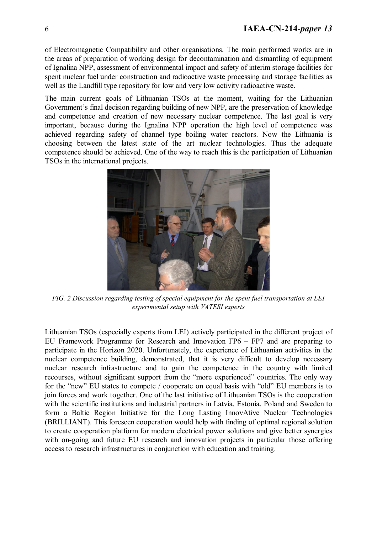of Electromagnetic Compatibility and other organisations. The main performed works are in the areas of preparation of working design for decontamination and dismantling of equipment of Ignalina NPP, assessment of environmental impact and safety of interim storage facilities for spent nuclear fuel under construction and radioactive waste processing and storage facilities as well as the Landfill type repository for low and very low activity radioactive waste.

The main current goals of Lithuanian TSOs at the moment, waiting for the Lithuanian Government's final decision regarding building of new NPP, are the preservation of knowledge and competence and creation of new necessary nuclear competence. The last goal is very important, because during the Ignalina NPP operation the high level of competence was achieved regarding safety of channel type boiling water reactors. Now the Lithuania is choosing between the latest state of the art nuclear technologies. Thus the adequate competence should be achieved. One of the way to reach this is the participation of Lithuanian TSOs in the international projects.



*FIG. 2 Discussion regarding testing of special equipment for the spent fuel transportation at LEI experimental setup with VATESI experts* 

Lithuanian TSOs (especially experts from LEI) actively participated in the different project of EU Framework Programme for Research and Innovation FP6 – FP7 and are preparing to participate in the Horizon 2020. Unfortunately, the experience of Lithuanian activities in the nuclear competence building, demonstrated, that it is very difficult to develop necessary nuclear research infrastructure and to gain the competence in the country with limited recourses, without significant support from the "more experienced" countries. The only way for the "new" EU states to compete / cooperate on equal basis with "old" EU members is to join forces and work together. One of the last initiative of Lithuanian TSOs is the cooperation with the scientific institutions and industrial partners in Latvia, Estonia, Poland and Sweden to form a Baltic Region Initiative for the Long Lasting InnovAtive Nuclear Technologies (BRILLIANT). This foreseen cooperation would help with finding of optimal regional solution to create cooperation platform for modern electrical power solutions and give better synergies with on-going and future EU research and innovation projects in particular those offering access to research infrastructures in conjunction with education and training.